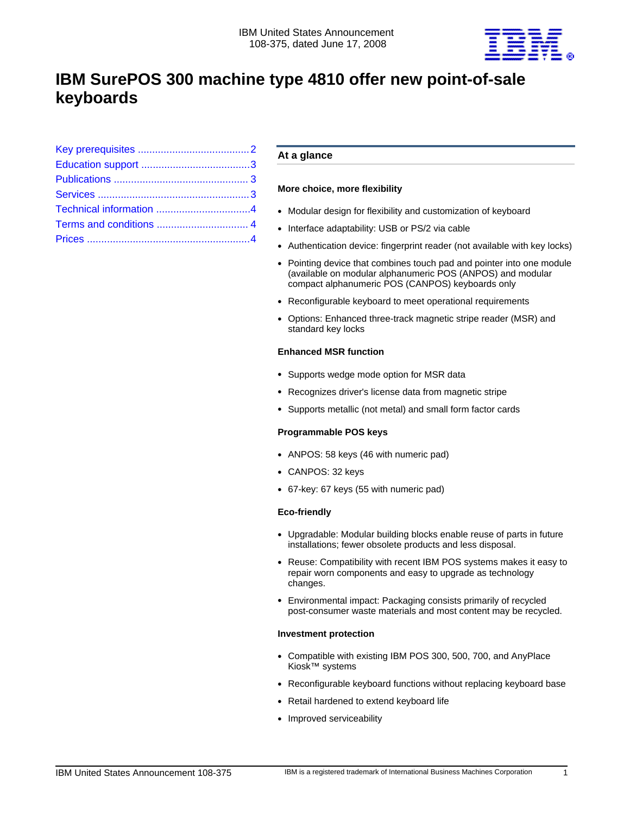

# **IBM SurePOS 300 machine type 4810 offer new point-of-sale keyboards**

# **At a glance**

# **More choice, more flexibility**

- Modular design for flexibility and customization of keyboard
- Interface adaptability: USB or PS/2 via cable
- Authentication device: fingerprint reader (not available with key locks)
- Pointing device that combines touch pad and pointer into one module (available on modular alphanumeric POS (ANPOS) and modular compact alphanumeric POS (CANPOS) keyboards only
- Reconfigurable keyboard to meet operational requirements
- Options: Enhanced three-track magnetic stripe reader (MSR) and standard key locks

# **Enhanced MSR function**

- Supports wedge mode option for MSR data
- Recognizes driver's license data from magnetic stripe
- Supports metallic (not metal) and small form factor cards

# **Programmable POS keys**

- ANPOS: 58 keys (46 with numeric pad)
- CANPOS: 32 keys
- 67-key: 67 keys (55 with numeric pad)

# **Eco-friendly**

- Upgradable: Modular building blocks enable reuse of parts in future installations; fewer obsolete products and less disposal.
- Reuse: Compatibility with recent IBM POS systems makes it easy to repair worn components and easy to upgrade as technology changes.
- Environmental impact: Packaging consists primarily of recycled post-consumer waste materials and most content may be recycled.

# **Investment protection**

- Compatible with existing IBM POS 300, 500, 700, and AnyPlace Kiosk™ systems
- Reconfigurable keyboard functions without replacing keyboard base
- Retail hardened to extend keyboard life
- Improved serviceability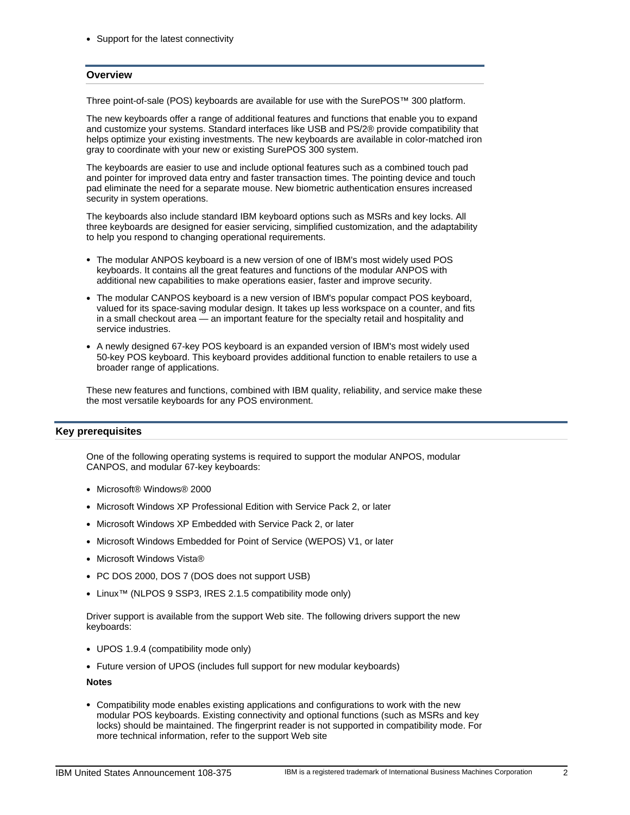• Support for the latest connectivity

## **Overview**

Three point-of-sale (POS) keyboards are available for use with the SurePOS™ 300 platform.

The new keyboards offer a range of additional features and functions that enable you to expand and customize your systems. Standard interfaces like USB and PS/2® provide compatibility that helps optimize your existing investments. The new keyboards are available in color-matched iron gray to coordinate with your new or existing SurePOS 300 system.

The keyboards are easier to use and include optional features such as a combined touch pad and pointer for improved data entry and faster transaction times. The pointing device and touch pad eliminate the need for a separate mouse. New biometric authentication ensures increased security in system operations.

The keyboards also include standard IBM keyboard options such as MSRs and key locks. All three keyboards are designed for easier servicing, simplified customization, and the adaptability to help you respond to changing operational requirements.

- The modular ANPOS keyboard is a new version of one of IBM's most widely used POS keyboards. It contains all the great features and functions of the modular ANPOS with additional new capabilities to make operations easier, faster and improve security.
- The modular CANPOS keyboard is a new version of IBM's popular compact POS keyboard, valued for its space-saving modular design. It takes up less workspace on a counter, and fits in a small checkout area — an important feature for the specialty retail and hospitality and service industries.
- A newly designed 67-key POS keyboard is an expanded version of IBM's most widely used 50-key POS keyboard. This keyboard provides additional function to enable retailers to use a broader range of applications.

These new features and functions, combined with IBM quality, reliability, and service make these the most versatile keyboards for any POS environment.

# <span id="page-1-0"></span>**Key prerequisites**

One of the following operating systems is required to support the modular ANPOS, modular CANPOS, and modular 67-key keyboards:

- Microsoft® Windows® 2000
- Microsoft Windows XP Professional Edition with Service Pack 2, or later
- Microsoft Windows XP Embedded with Service Pack 2, or later
- Microsoft Windows Embedded for Point of Service (WEPOS) V1, or later
- Microsoft Windows Vista®
- PC DOS 2000, DOS 7 (DOS does not support USB)
- Linux™ (NLPOS 9 SSP3, IRES 2.1.5 compatibility mode only)

Driver support is available from the support Web site. The following drivers support the new keyboards:

- UPOS 1.9.4 (compatibility mode only)
- Future version of UPOS (includes full support for new modular keyboards)

**Notes**

• Compatibility mode enables existing applications and configurations to work with the new modular POS keyboards. Existing connectivity and optional functions (such as MSRs and key locks) should be maintained. The fingerprint reader is not supported in compatibility mode. For more technical information, refer to the support Web site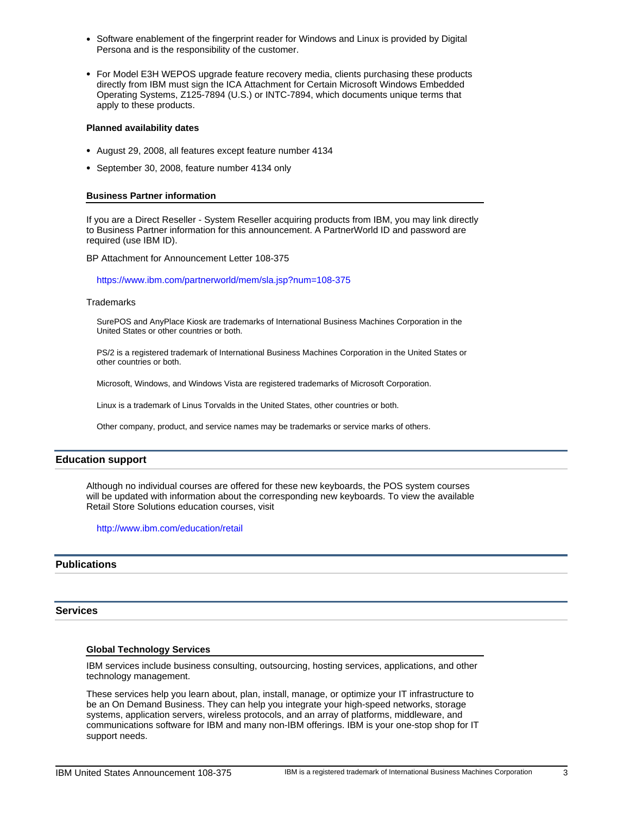- Software enablement of the fingerprint reader for Windows and Linux is provided by Digital Persona and is the responsibility of the customer.
- For Model E3H WEPOS upgrade feature recovery media, clients purchasing these products directly from IBM must sign the ICA Attachment for Certain Microsoft Windows Embedded Operating Systems, Z125-7894 (U.S.) or INTC-7894, which documents unique terms that apply to these products.

#### **Planned availability dates**

- August 29, 2008, all features except feature number 4134
- September 30, 2008, feature number 4134 only

#### **Business Partner information**

If you are a Direct Reseller - System Reseller acquiring products from IBM, you may link directly to Business Partner information for this announcement. A PartnerWorld ID and password are required (use IBM ID).

BP Attachment for Announcement Letter 108-375

https://www.ibm.com/partnerworld/mem/sla.jsp?num=108-375

#### **Trademarks**

SurePOS and AnyPlace Kiosk are trademarks of International Business Machines Corporation in the United States or other countries or both.

PS/2 is a registered trademark of International Business Machines Corporation in the United States or other countries or both.

Microsoft, Windows, and Windows Vista are registered trademarks of Microsoft Corporation.

Linux is a trademark of Linus Torvalds in the United States, other countries or both.

Other company, product, and service names may be trademarks or service marks of others.

## <span id="page-2-0"></span>**Education support**

Although no individual courses are offered for these new keyboards, the POS system courses will be updated with information about the corresponding new keyboards. To view the available Retail Store Solutions education courses, visit

http://www.ibm.com/education/retail

#### <span id="page-2-1"></span>**Publications**

#### <span id="page-2-2"></span>**Services**

#### **Global Technology Services**

IBM services include business consulting, outsourcing, hosting services, applications, and other technology management.

These services help you learn about, plan, install, manage, or optimize your IT infrastructure to be an On Demand Business. They can help you integrate your high-speed networks, storage systems, application servers, wireless protocols, and an array of platforms, middleware, and communications software for IBM and many non-IBM offerings. IBM is your one-stop shop for IT support needs.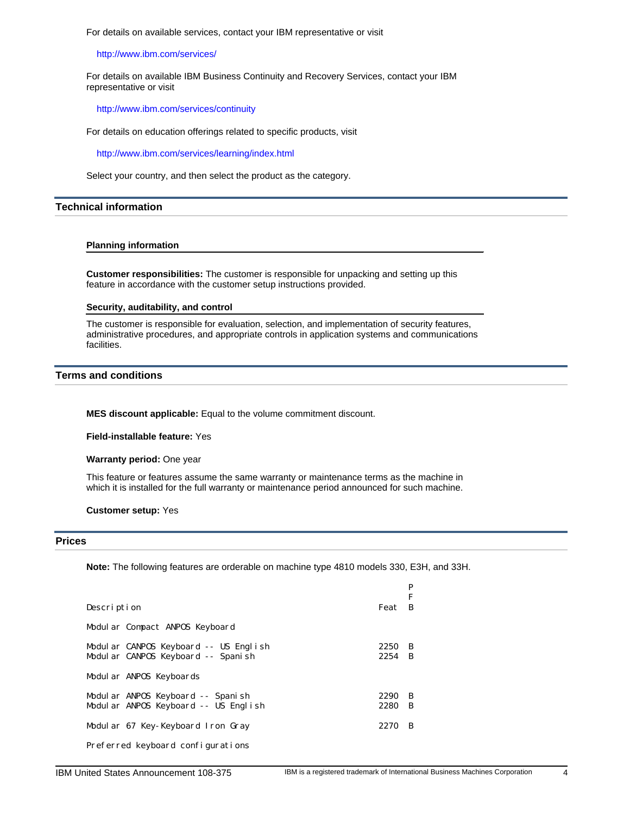For details on available services, contact your IBM representative or visit

http://www.ibm.com/services/

For details on available IBM Business Continuity and Recovery Services, contact your IBM representative or visit

http://www.ibm.com/services/continuity

For details on education offerings related to specific products, visit

http://www.ibm.com/services/learning/index.html

<span id="page-3-0"></span>Select your country, and then select the product as the category.

# **Technical information**

#### **Planning information**

**Customer responsibilities:** The customer is responsible for unpacking and setting up this feature in accordance with the customer setup instructions provided.

### **Security, auditability, and control**

The customer is responsible for evaluation, selection, and implementation of security features, administrative procedures, and appropriate controls in application systems and communications facilities.

# <span id="page-3-1"></span>**Terms and conditions**

**MES discount applicable:** Equal to the volume commitment discount.

**Field-installable feature:** Yes

**Warranty period:** One year

This feature or features assume the same warranty or maintenance terms as the machine in which it is installed for the full warranty or maintenance period announced for such machine.

<span id="page-3-2"></span>**Customer setup:** Yes

#### **Prices**

**Note:** The following features are orderable on machine type 4810 models 330, E3H, and 33H.

|                                       |        | P  |
|---------------------------------------|--------|----|
|                                       |        | F  |
| Description                           | Feat   | B  |
| Modul ar Compact ANPOS Keyboard       |        |    |
| Modular CANPOS Keyboard -- US English | 2250   | -B |
| Modul ar CANPOS Keyboard -- Spanish   | 2254 B |    |
|                                       |        |    |
| Modular ANPOS Keyboards               |        |    |
| Modul ar ANPOS Keyboard -- Spanish    | 2290   | B  |
| Modular ANPOS Keyboard -- US English  | 2280   | B  |
|                                       |        |    |
| Modular 67 Key-Keyboard Iron Gray     | 2270   | B  |
|                                       |        |    |
| Preferred keyboard configurations     |        |    |
|                                       |        |    |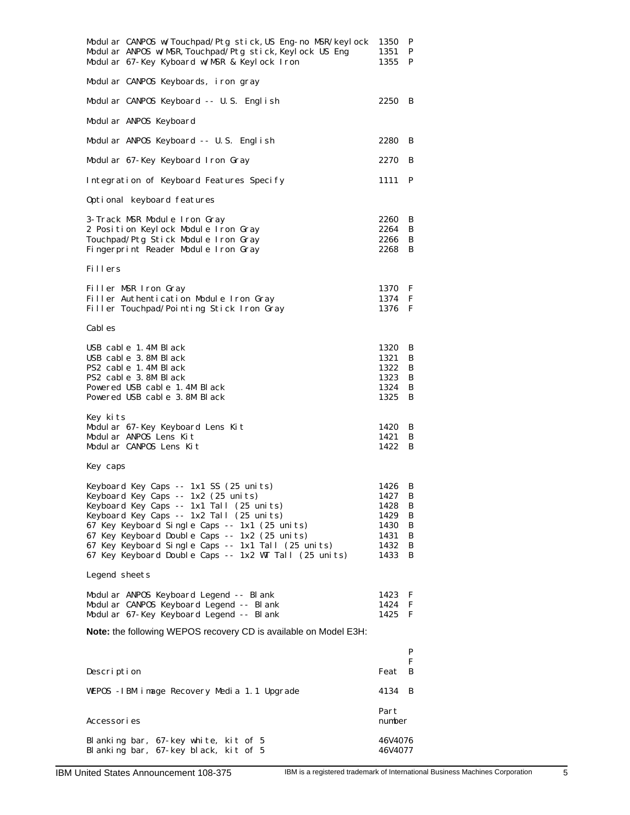| Modul ar CANPOS w/Touchpad/Ptg stick, US Eng-no MSR/keylock<br>Modular ANPOS w/MSR, Touchpad/Ptg stick, Keylock US Eng<br>Modular 67-Key Kyboard w/MSR & Keylock Iron                                                                                                                                                                                                                  | 1350<br>1351<br>1355                                         | P<br>P<br>P                          |
|----------------------------------------------------------------------------------------------------------------------------------------------------------------------------------------------------------------------------------------------------------------------------------------------------------------------------------------------------------------------------------------|--------------------------------------------------------------|--------------------------------------|
| Modular CANPOS Keyboards, iron gray                                                                                                                                                                                                                                                                                                                                                    |                                                              |                                      |
| Modular CANPOS Keyboard -- U.S. English                                                                                                                                                                                                                                                                                                                                                | 2250                                                         | B                                    |
| Modul ar ANPOS Keyboard                                                                                                                                                                                                                                                                                                                                                                |                                                              |                                      |
| Modular ANPOS Keyboard -- U.S. English                                                                                                                                                                                                                                                                                                                                                 | 2280                                                         | B                                    |
| Modular 67-Key Keyboard Iron Gray                                                                                                                                                                                                                                                                                                                                                      | 2270                                                         | B                                    |
| Integration of Keyboard Features Specify                                                                                                                                                                                                                                                                                                                                               | 1111                                                         | P                                    |
| Optional keyboard features                                                                                                                                                                                                                                                                                                                                                             |                                                              |                                      |
| 3-Track MSR Module Iron Gray<br>2 Position Keylock Module Iron Gray<br>Touchpad/Ptg Stick Module Iron Gray<br>Fingerprint Reader Module Iron Gray                                                                                                                                                                                                                                      | 2260<br>2264<br>2266<br>2268                                 | B<br>B<br>B<br>B                     |
| Fillers                                                                                                                                                                                                                                                                                                                                                                                |                                                              |                                      |
| Filler MSR Iron Gray<br>Filler Authentication Module Iron Gray<br>Filler Touchpad/Pointing Stick Iron Gray                                                                                                                                                                                                                                                                             | 1370<br>1374<br>1376                                         | F<br>F<br>F                          |
| Cabl es                                                                                                                                                                                                                                                                                                                                                                                |                                                              |                                      |
| USB cable 1.4M Black<br>USB cable 3.8M Black<br>PS2 cable 1.4M Black<br>PS2 cable 3.8M Black<br>Powered USB cable 1.4M Black<br>Powered USB cable 3.8M Black                                                                                                                                                                                                                           | 1320<br>1321<br>1322<br>1323<br>1324<br>1325                 | B<br>B<br>B<br>B<br>B<br>B           |
| Key kits<br>Modular 67-Key Keyboard Lens Kit<br>Modular ANPOS Lens Kit<br>Modular CANPOS Lens Kit                                                                                                                                                                                                                                                                                      | 1420<br>1421<br>1422                                         | B<br>B<br>B                          |
| Key caps                                                                                                                                                                                                                                                                                                                                                                               |                                                              |                                      |
| Keyboard Key Caps -- 1x1 SS (25 units)<br>Keyboard Key Caps -- 1x2 (25 units)<br>Keyboard Key Caps -- 1x1 Tall (25 units)<br>Keyboard Key Caps -- 1x2 Tall (25 units)<br>67 Key Keyboard Single Caps -- 1x1 (25 units)<br>67 Key Keyboard Double Caps -- 1x2 (25 units)<br>67 Key Keyboard Single Caps -- 1x1 Tall (25 units)<br>67 Key Keyboard Double Caps -- 1x2 WT Tall (25 units) | 1426<br>1427<br>1428<br>1429<br>1430<br>1431<br>1432<br>1433 | B<br>B<br>B<br>B<br>B<br>B<br>B<br>B |
| Legend sheets                                                                                                                                                                                                                                                                                                                                                                          |                                                              |                                      |
| Modul ar ANPOS Keyboard Legend -- Bl ank<br>Modul ar CANPOS Keyboard Legend -- Bl ank<br>Modul ar 67-Key Keyboard Legend -- Blank                                                                                                                                                                                                                                                      | 1423<br>1424<br>1425                                         | F<br>F<br>F                          |
| Note: the following WEPOS recovery CD is available on Model E3H:                                                                                                                                                                                                                                                                                                                       |                                                              |                                      |
| Description                                                                                                                                                                                                                                                                                                                                                                            | Feat                                                         | P<br>F<br>B                          |
| WEPOS - IBM image Recovery Media 1.1 Upgrade                                                                                                                                                                                                                                                                                                                                           | 4134                                                         | B                                    |
| Accessori es                                                                                                                                                                                                                                                                                                                                                                           | Part<br>number                                               |                                      |
| Blanking bar, 67-key white, kit of 5<br>Blanking bar,<br>67-key black, kit of 5                                                                                                                                                                                                                                                                                                        | 46V4076<br>46V4077                                           |                                      |